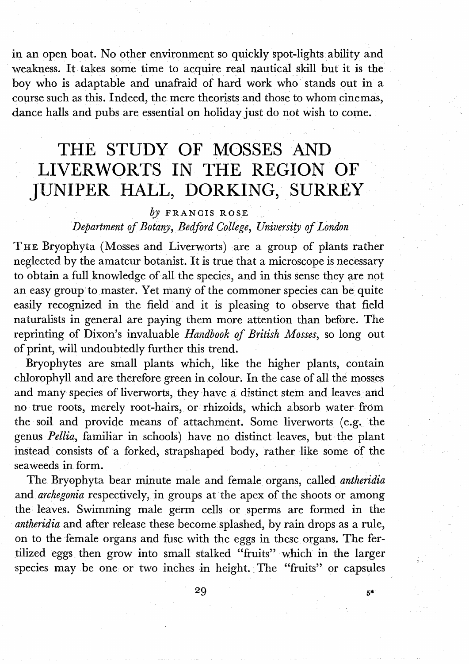in an open boat. No other environment so quickly spot-lights ability and weakness. It takes some time to acquire real nautical skill but it is the boy who is adaptable and unafraid of hard work who stands out in a course such as this. Indeed, the mere theorists and those to whom cinemas, dance halls and pubs are essential on holiday just do not wish to come.

## THE STUDY OF MOSSES AND LIVERWORTS IN THE REGION OF JUNIPER HALL, DORKING, SURREY

## *by* FRANCIS ROSE

## Department of Botany, Bedford College, University of London

THE Bryophyta (Mosses and Liverworts) are a group of plants rather neglected by the amateur botanist. It is true that a microscope is necessary to obtain a full knowledge of all the species, and in this sense they are not an easy group to master. Yet many of the commoner species can be quite easily recognized in the field and it is pleasing to observe that field naturalists in general are paying them more attention than before. The reprinting of Dixon's invaluable Handbook of British Mosses, so long out of print, will undoubtedly further this trend.

Bryophytes are small plants which, like the higher plants, contain chlorophyll and are therefore green in colour. In the case of all the mosses and many species of liverworts, they have a distinct stem and leaves and no true roots, merely root-hairs, or rhizoids, which absorb water from the soil and provide means of attachment. Some liverworts (e.g. the genus Pellia, familiar in schools) have no distinct leaves, but the plant instead consists of a forked, strapshaped body, rather like some of the seaweeds in form.

The Bryophyta bear minute male and female organs, called antheridia and archegonia respectively, in groups at the apex of the shoots or among the leaves. Swimming male germ cells or sperms are formed in the antheridia and after release these become splashed, by rain drops as a rule, on to the female organs and fuse with the eggs in these organs. The fertilized eggs then grow into small stalked "fruits" which in the larger species may be one or two inches in height. The "fruits" or capsules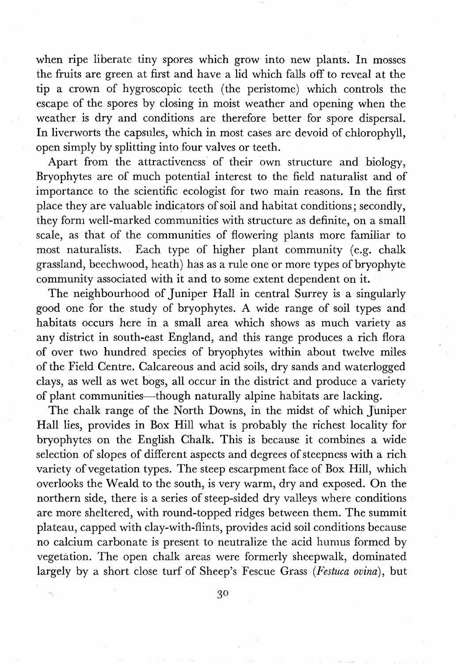when ripe liberate tiny spores which grow into new plants. In mosses the fruits are green at first and have a lid which falls off to reveal at the tip a crown of hygroscopic teeth (the peristome) which controls the escape of the spores by closing in moist weather and opening when the weather is dry and conditions are therefore better for spore dispersal. In liverworts the capsules, which in most cases are devoid of chlorophyll, open simply by splitting into four valves or teeth.

Apart from the attractiveness of their own structure and biology, Bryophytes are of much potential interest to the field naturalist and of importance to the scientific ecologist for two main reasons. In the first place they are valuable indicators of soil and habitat conditions; secondly, they form well-marked communities with structure as definite, on a small scale, as that of the communities of flowering plants more familiar to most naturalists. Each type of higher plant community (e.g. chalk grassland, beechwood, heath) has as a rule one or more types of bryophyte community associated with it and to some extent dependent on it.

The neighbourhood of Juniper Hall in central Surrey is a singularly good one for the study of bryophytes. A wide range of soil types and habitats occurs here in a small area which shows as much variety as any district in south-east England, and this range produces a rich flora of over two hundred species of bryophytes within about twelve miles of the Field Centre. Calcareous and acid soils, dry sands and waterlogged clays, as well as wet bogs, all occur in the district and produce a variety of plant communities-though naturally alpine habitats are lacking.

The chalk range of the North Downs, in the midst of which Juniper Hall lies, provides in Box Hill what is probably the richest locality for bryophytes on the English Chalk. This is because it combines a wide selection of slopes of different aspects and degrees of steepness with a rich variety of vegetation types. The steep escarpment face of Box Hill, which overlooks the Weald to the south, is very warm, dry and exposed. On the northern side, there is a series of steep-sided dry valleys where conditions are more sheltered, with round-topped ridges between them. The summit plateau, capped with clay-with-flints, provides acid soil conditions because no calcium carbonate is present to neutralize the acid humus formed by vegetation. The open chalk areas were formerly sheepwalk, dominated largely by a short close turf of Sheep's Fescue Grass (Festuca **ocina),** but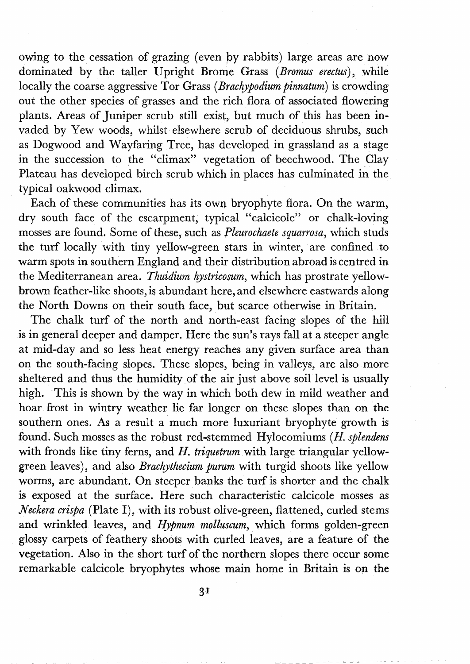owing to the cessation of grazing (even by rabbits) large areas are now dominated by the taller Upright Brome Grass (Bromus erectus), while locally the coarse aggressive Tor Grass (Brachypodium pinnatum) is crowding out the other species of grasses and the rich flora of associated flowering plants. Areas of Juniper scrub still exist, but much of this has been invaded by Yew woods, whilst elsewhere scrub of deciduous shrubs, such as Dogwood and Wayfaring Tree, has developed in grassland as a stage in the succession to the "climax" vegetation of beechwood. The Clay Plateau has developed birch scrub which in places has culminated in the typical oakwood climax.

Each of these communities has its own bryophyte flora. On the warm, dry south face of the escarpment, typical "calcicole" or chalk-loving mosses are found. Some of these, such as Pleurochaete spuarrosa, which studs the turf locally with tiny yellow-green stars in winter, are confined to warm spots in southern England and their distribution abroad is centred in the Mediterranean area. Thuidium hystricosum, which has prostrate yellowbrown feather-like shoots, is abundant here, and elsewhere eastwards along the North Downs on their south face, but scarce otherwise in Britain.

The chalk turf of the north and north-east facing slopes of the hill is in general deeper and damper. Here the sun's rays fall at a steeper angle at mid-day and so less heat energy reaches any given surface area than on the south-facing slopes. These slopes, being in valleys, are also more sheltered and thus the humidity of the air just above soil level is usually high. This is shown by the way in which both dew in mild weather and hoar frost in wintry weather lie far longer on these slopes than on the southern ones. As a result a much more luxuriant bryophyte growth is found. Such mosses as the robust red-stemmed Hylocomiums (H. splendens with fronds like tiny ferns, and  $H$ . triquetrum with large triangular yellowgreen leaves), and also Brachythecium purum with turgid shoots like yellow worms, are abundant. On steeper banks the turf is shorter and the chalk is exposed at the surface. Here such characteristic calcicole mosses as Neckera crispa (Plate I), with its robust olive-green, flattened, curled stems and wrinkled leaves, and Hypnum molluscum, which forms golden-green glossy carpets of feathery shoots with curled leaves, are a feature of the vegetation. Also in the short turf of the northern slopes there occur some remarkable calcicole bryophytes whose main home in Britain is on the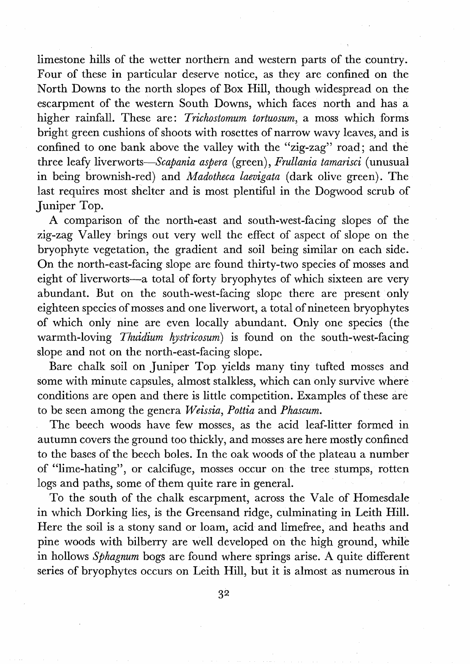limestone hills of the wetter northern and western parts of the country. Four of these in particular deserve notice, as they are confined on the North Downs to the north slopes of Box Hill, though widespread on the escarpment of the western South Downs, which faces north and has a higher rainfall. These are: Trichostomum tortuosum, a moss which forms bright green cushions of shoots with rosettes of narrow wavy leaves, and is confined to one bank above the valley with the "zig-zag" road; and the three leafy liverworts-Scapania aspera (green), Frullania tamarisci (unusual in being brownish-red) and *Madotheca laevigata* (dark olive green). The last requires most shelter and is most plentiful in the Dogwood scrub of Juniper Top.

A comparison of the north-east and south-west-facing slopes of the zig-zag Valley brings out very well the effect of aspect of slope on the bryophyte vegetation, the gradient and soil being similar on each side. On the north-east-facing slope are found thirty-two species of mosses and eight of liverworts-a total of forty bryophytes of which sixteen are very abundant. But on the south-west-facing slope there are present only eighteen species of mosses and one liverwort, a total of nineteen bryophytes of which only nine are even locally abundant. Only one species (the warmth-loving Thuidium hystricosum) is found on the south-west-facing slope and not on the north-east-facing slope.

Bare chaIk soil on Juniper Top yields many tiny tufted mosses and some with minute capsules, almost stalkless, which can only survive where conditions are open and there is little competition. Examples of these are to be seen among the genera Weissia, Pottia and Phascum.

The beech woods have few mosses, as the acid leaf-litter formed in autumn covers the ground too thickly, and mosses are here mostly confined to the bases of the beech boles. In the oak woods of the plateau a number of "lime-hating", or calcifuge, mosses occur on the tree stumps, rotten logs and paths, some of them quite rare in general.

To the south of the chalk escarpment, across the Vale of Homesdale in which Dorking lies, is the Greensand ridge, culminating in Leith Hill. Here the soil is a stony sand or loam, acid and limefree, and heaths and pine woods with bilberry are well developed on the high ground, while in hollows Sphagnum bogs are found where springs arise. A quite different series of bryophytes occurs on Leith Hill, but it is almost as numerous in